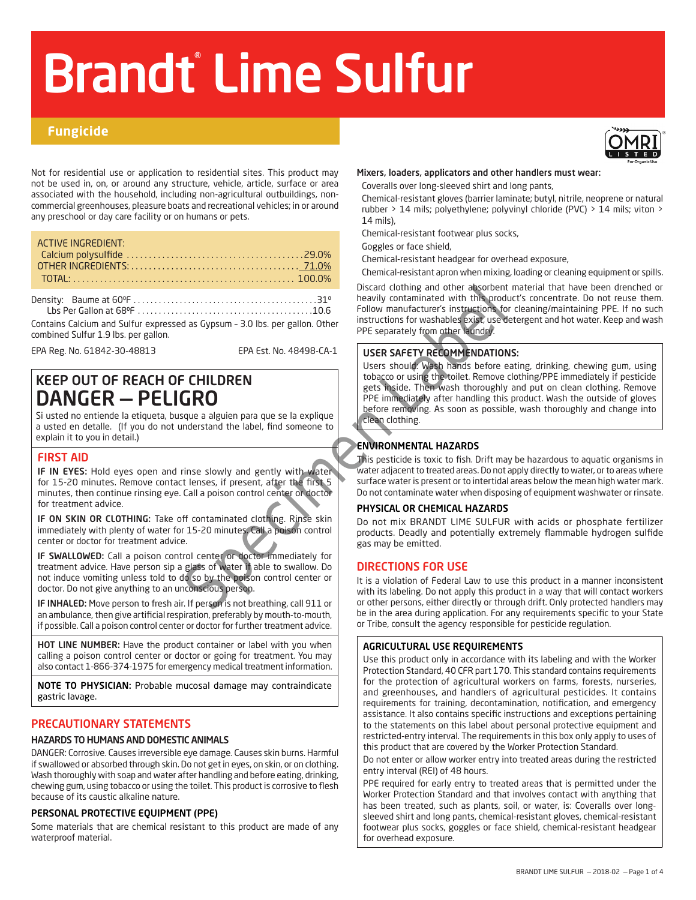# Brandt® Lime Sulfur

# **Fungicide**

Not for residential use or application to residential sites. This product may not be used in, on, or around any structure, vehicle, article, surface or area associated with the household, including non-agricultural outbuildings, noncommercial greenhouses, pleasure boats and recreational vehicles; in or around any preschool or day care facility or on humans or pets.

| <b>ACTIVE INGREDIENT:</b> |  |
|---------------------------|--|
|                           |  |
|                           |  |
|                           |  |
|                           |  |

Density: Baume at 600F . 310 Lbs Per Gallon at 680F . 10.6

Contains Calcium and Sulfur expressed as Gypsum – 3.0 lbs. per gallon. Other combined Sulfur 1.9 lbs. per gallon.

EPA Reg. No. 61842-30-48813 EPA Est. No. 48498-CA-1

# KEEP OUT OF REACH OF CHILDREN DANGER — PELIGRO

Si usted no entiende la etiqueta, busque a alguien para que se la explique a usted en detalle. (If you do not understand the label, find someone to explain it to you in detail.)

# FIRST AID

IF IN EYES: Hold eyes open and rinse slowly and gently with water for 15-20 minutes. Remove contact lenses, if present, after the first 5 minutes, then continue rinsing eye. Call a poison control center or doctor for treatment advice.

IF ON SKIN OR CLOTHING: Take off contaminated clothing. Rinse skin immediately with plenty of water for 15-20 minutes. Call a poison control center or doctor for treatment advice.

IF SWALLOWED: Call a poison control center or doctor immediately for treatment advice. Have person sip a glass of water if able to swallow. Do not induce vomiting unless told to do so by the poison control center or doctor. Do not give anything to an unconscious person.

IF INHALED: Move person to fresh air. If person is not breathing, call 911 or an ambulance, then give artificial respiration, preferably by mouth-to-mouth, if possible. Call a poison control center or doctor for further treatment advice.

HOT LINE NUMBER: Have the product container or label with you when calling a poison control center or doctor or going for treatment. You may also contact 1-866-374-1975 for emergency medical treatment information.

NOTE TO PHYSICIAN: Probable mucosal damage may contraindicate gastric lavage.

# PRECAUTIONARY STATEMENTS

# HAZARDS TO HUMANS AND DOMESTIC ANIMALS

DANGER: Corrosive. Causes irreversible eye damage. Causes skin burns. Harmful if swallowed or absorbed through skin. Do not get in eyes, on skin, or on clothing. Wash thoroughly with soap and water after handling and before eating, drinking, chewing gum, using tobacco or using the toilet. This product is corrosive to flesh because of its caustic alkaline nature.

# PERSONAL PROTECTIVE EQUIPMENT (PPE)

Some materials that are chemical resistant to this product are made of any waterproof material.

### Mixers, loaders, applicators and other handlers must wear:

Coveralls over long-sleeved shirt and long pants,

Chemical-resistant gloves (barrier laminate; butyl, nitrile, neoprene or natural rubber > 14 mils; polyethylene; polyvinyl chloride (PVC) > 14 mils; viton > 14 mils),

Chemical-resistant footwear plus socks,

Goggles or face shield,

Chemical-resistant headgear for overhead exposure,

Chemical-resistant apron when mixing, loading or cleaning equipment or spills.

Discard clothing and other absorbent material that have been drenched or heavily contaminated with this product's concentrate. Do not reuse them. Follow manufacturer's instructions for cleaning/maintaining PPE. If no such instructions for washables exist, use detergent and hot water. Keep and wash PPE separately from other laundry.

# USER SAFETY RECOMMENDATIONS:

Special could communicate the associates and the associates and the associates and the special species and the label, find someone to the minimization of the special control of the special control of the minimization of th Users should: Wash hands before eating, drinking, chewing gum, using tobacco or using the toilet. Remove clothing/PPE immediately if pesticide gets inside. Then wash thoroughly and put on clean clothing. Remove PPE immediately after handling this product. Wash the outside of gloves before removing. As soon as possible, wash thoroughly and change into clean clothing.

# ENVIRONMENTAL HAZARDS

This pesticide is toxic to fish. Drift may be hazardous to aquatic organisms in water adjacent to treated areas. Do not apply directly to water, or to areas where surface water is present or to intertidal areas below the mean high water mark. Do not contaminate water when disposing of equipment washwater or rinsate.

# PHYSICAL OR CHEMICAL HAZARDS

Do not mix BRANDT LIME SULFUR with acids or phosphate fertilizer products. Deadly and potentially extremely flammable hydrogen sulfide gas may be emitted.

# DIRECTIONS FOR USE

It is a violation of Federal Law to use this product in a manner inconsistent with its labeling. Do not apply this product in a way that will contact workers or other persons, either directly or through drift. Only protected handlers may be in the area during application. For any requirements specific to your State or Tribe, consult the agency responsible for pesticide regulation.

### AGRICULTURAL USE REQUIREMENTS

Use this product only in accordance with its labeling and with the Worker Protection Standard, 40 CFR part 170. This standard contains requirements for the protection of agricultural workers on farms, forests, nurseries, and greenhouses, and handlers of agricultural pesticides. It contains requirements for training, decontamination, notification, and emergency assistance. It also contains specific instructions and exceptions pertaining to the statements on this label about personal protective equipment and restricted-entry interval. The requirements in this box only apply to uses of this product that are covered by the Worker Protection Standard.

Do not enter or allow worker entry into treated areas during the restricted entry interval (REI) of 48 hours.

PPE required for early entry to treated areas that is permitted under the Worker Protection Standard and that involves contact with anything that has been treated, such as plants, soil, or water, is: Coveralls over longsleeved shirt and long pants, chemical-resistant gloves, chemical-resistant footwear plus socks, goggles or face shield, chemical-resistant headgear for overhead exposure.

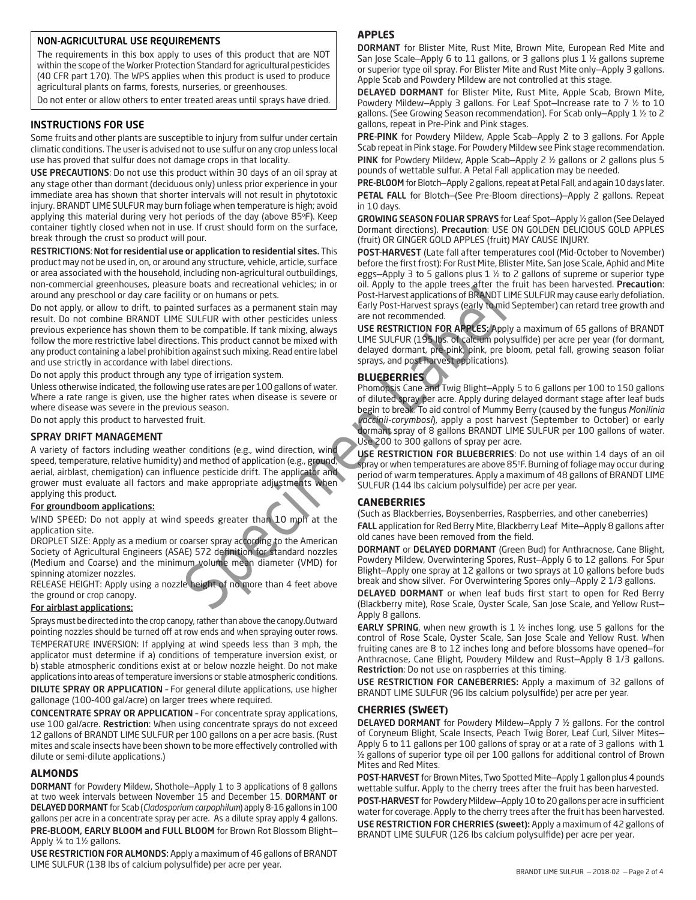### NON-AGRICULTURAL USE REQUIREMENTS

The requirements in this box apply to uses of this product that are NOT within the scope of the Worker Protection Standard for agricultural pesticides (40 CFR part 170). The WPS applies when this product is used to produce agricultural plants on farms, forests, nurseries, or greenhouses.

Do not enter or allow others to enter treated areas until sprays have dried.

### INSTRUCTIONS FOR USE

Some fruits and other plants are susceptible to injury from sulfur under certain climatic conditions. The user is advised not to use sulfur on any crop unless local use has proved that sulfur does not damage crops in that locality.

USE PRECAUTIONS: Do not use this product within 30 days of an oil spray at any stage other than dormant (deciduous only) unless prior experience in your immediate area has shown that shorter intervals will not result in phytotoxic injury. BRANDT LIME SULFUR may burn foliage when temperature is high; avoid applying this material during very hot periods of the day (above 85°F). Keep container tightly closed when not in use. If crust should form on the surface, break through the crust so product will pour.

RESTRICTIONS: Not for residential use or application to residential sites. This product may not be used in, on, or around any structure, vehicle, article, surface or area associated with the household, including non-agricultural outbuildings, non-commercial greenhouses, pleasure boats and recreational vehicles; in or around any preschool or day care facility or on humans or pets.

Examples the surface as a permanent stain and a feat perfect surface and a series of the surface state of the Such as Backhering Cardier and Surface and Surface and Surface and Surface and the surface are perfective to the Do not apply, or allow to drift, to painted surfaces as a permanent stain may result. Do not combine BRANDT LIME SULFUR with other pesticides unless previous experience has shown them to be compatible. If tank mixing, always follow the more restrictive label directions. This product cannot be mixed with any product containing a label prohibition against such mixing. Read entire label and use strictly in accordance with label directions.

Do not apply this product through any type of irrigation system.

Unless otherwise indicated, the following use rates are per 100 gallons of water. Where a rate range is given, use the higher rates when disease is severe or where disease was severe in the previous season.

Do not apply this product to harvested fruit.

### SPRAY DRIFT MANAGEMENT

A variety of factors including weather conditions (e.g., wind direction, wind speed, temperature, relative humidity) and method of application (e.g., ground, aerial, airblast, chemigation) can influence pesticide drift. The applicator and grower must evaluate all factors and make appropriate adjustments when applying this product.

### For groundboom applications:

WIND SPEED: Do not apply at wind speeds greater than 10 mph at the application site.

DROPLET SIZE: Apply as a medium or coarser spray according to the American Society of Agricultural Engineers (ASAE) 572 definition for standard nozzles (Medium and Coarse) and the minimum volume mean diameter (VMD) for spinning atomizer nozzles.

RELEASE HEIGHT: Apply using a nozzle height of no more than 4 feet above the ground or crop canopy.

### For airblast applications:

Sprays must be directed into the crop canopy, rather than above the canopy.Outward pointing nozzles should be turned off at row ends and when spraying outer rows. TEMPERATURE INVERSION: If applying at wind speeds less than 3 mph, the applicator must determine if a) conditions of temperature inversion exist, or b) stable atmospheric conditions exist at or below nozzle height. Do not make applications into areas of temperature inversions or stable atmospheric conditions. DILUTE SPRAY OR APPLICATION – For general dilute applications, use higher gallonage (100-400 gal/acre) on larger trees where required.

CONCENTRATE SPRAY OR APPLICATION – For concentrate spray applications, use 100 gal/acre. Restriction: When using concentrate sprays do not exceed 12 gallons of BRANDT LIME SULFUR per 100 gallons on a per acre basis. (Rust mites and scale insects have been shown to be more effectively controlled with dilute or semi-dilute applications.)

### **ALMONDS**

DORMANT for Powdery Mildew, Shothole—Apply 1 to 3 applications of 8 gallons at two week intervals between November 15 and December 15. DORMANT or DELAYED DORMANT for Scab (*Cladosporium carpophilum*) apply 8-16 gallons in 100 gallons per acre in a concentrate spray per acre. As a dilute spray apply 4 gallons. PRE-BLOOM, EARLY BLOOM and FULL BLOOM for Brown Rot Blossom Blight-Apply ¾ to 1½ gallons.

USE RESTRICTION FOR ALMONDS: Apply a maximum of 46 gallons of BRANDT LIME SULFUR (138 lbs of calcium polysulfide) per acre per year.

### **APPLES**

DORMANT for Blister Mite, Rust Mite, Brown Mite, European Red Mite and San Jose Scale—Apply 6 to 11 gallons, or 3 gallons plus 1 ½ gallons supreme or superior type oil spray. For Blister Mite and Rust Mite only—Apply 3 gallons. Apple Scab and Powdery Mildew are not controlled at this stage.

DELAYED DORMANT for Blister Mite, Rust Mite, Apple Scab, Brown Mite, Powdery Mildew—Apply 3 gallons. For Leaf Spot—Increase rate to 7 ½ to 10 gallons. (See Growing Season recommendation). For Scab only—Apply 1 ½ to 2 gallons, repeat in Pre-Pink and Pink stages.

PRE-PINK for Powdery Mildew, Apple Scab-Apply 2 to 3 gallons. For Apple Scab repeat in Pink stage. For Powdery Mildew see Pink stage recommendation. PINK for Powdery Mildew, Apple Scab—Apply 2 ½ gallons or 2 gallons plus 5 pounds of wettable sulfur. A Petal Fall application may be needed.

PRE-BLOOM for Blotch—Apply 2 gallons, repeat at Petal Fall, and again 10 days later. PETAL FALL for Blotch—(See Pre-Bloom directions)—Apply 2 gallons. Repeat in 10 days.

GROWING SEASON FOLIAR SPRAYS for Leaf Spot—Apply ½ gallon (See Delayed Dormant directions). Precaution: USE ON GOLDEN DELICIOUS GOLD APPLES (fruit) OR GINGER GOLD APPLES (fruit) MAY CAUSE INJURY.

POST-HARVEST (Late fall after temperatures cool (Mid-October to November) before the first frost): For Rust Mite, Blister Mite, San Jose Scale, Aphid and Mite eggs—Apply 3 to 5 gallons plus 1 ½ to 2 gallons of supreme or superior type oil. Apply to the apple trees after the fruit has been harvested. Precaution: Post-Harvest applications of BRANDT LIME SULFUR may cause early defoliation. Early Post-Harvest sprays (early to mid September) can retard tree growth and are not recommended.

USE RESTRICTION FOR APPLES: Apply a maximum of 65 gallons of BRANDT LIME SULFUR (195 lbs. of calcium polysulfide) per acre per year (for dormant, delayed dormant, pre-pink, pink, pre bloom, petal fall, growing season foliar sprays, and post harvest applications).

### **BLUEBERRIES**

Phomopsis Cane and Twig Blight—Apply 5 to 6 gallons per 100 to 150 gallons of diluted spray per acre. Apply during delayed dormant stage after leaf buds begin to break. To aid control of Mummy Berry (caused by the fungus *Monilinia vaccinii-corymbosi*), apply a post harvest (September to October) or early dormant spray of 8 gallons BRANDT LIME SULFUR per 100 gallons of water. Use 200 to 300 gallons of spray per acre.

USE RESTRICTION FOR BLUEBERRIES: Do not use within 14 days of an oil spray or when temperatures are above  $85^\circ$ F. Burning of foliage may occur during period of warm temperatures. Apply a maximum of 48 gallons of BRANDT LIME SULFUR (144 lbs calcium polysulfide) per acre per year.

### **CANEBERRIES**

(Such as Blackberries, Boysenberries, Raspberries, and other caneberries) FALL application for Red Berry Mite, Blackberry Leaf Mite—Apply 8 gallons after old canes have been removed from the field.

DORMANT or DELAYED DORMANT (Green Bud) for Anthracnose, Cane Blight, Powdery Mildew, Overwintering Spores, Rust—Apply 6 to 12 gallons. For Spur Blight—Apply one spray at 12 gallons or two sprays at 10 gallons before buds break and show silver. For Overwintering Spores only—Apply 2 1/3 gallons.

DELAYED DORMANT or when leaf buds first start to open for Red Berry (Blackberry mite), Rose Scale, Oyster Scale, San Jose Scale, and Yellow Rust— Apply 8 gallons.

**EARLY SPRING**, when new growth is 1  $\frac{1}{2}$  inches long, use 5 gallons for the control of Rose Scale, Oyster Scale, San Jose Scale and Yellow Rust. When fruiting canes are 8 to 12 inches long and before blossoms have opened—for Anthracnose, Cane Blight, Powdery Mildew and Rust—Apply 8 1/3 gallons. Restriction: Do not use on raspberries at this timing.

USE RESTRICTION FOR CANEBERRIES: Apply a maximum of 32 gallons of BRANDT LIME SULFUR (96 lbs calcium polysulfide) per acre per year.

### **CHERRIES (SWEET)**

DELAYED DORMANT for Powdery Mildew—Apply 7 ½ gallons. For the control of Coryneum Blight, Scale Insects, Peach Twig Borer, Leaf Curl, Silver Mites— Apply 6 to 11 gallons per 100 gallons of spray or at a rate of 3 gallons with 1 ½ gallons of superior type oil per 100 gallons for additional control of Brown Mites and Red Mites.

POST-HARVEST for Brown Mites, Two Spotted Mite—Apply 1 gallon plus 4 pounds wettable sulfur. Apply to the cherry trees after the fruit has been harvested.

POST-HARVEST for Powdery Mildew—Apply 10 to 20 gallons per acre in sufficient water for coverage. Apply to the cherry trees after the fruit has been harvested. USE RESTRICTION FOR CHERRIES (sweet): Apply a maximum of 42 gallons of BRANDT LIME SULFUR (126 lbs calcium polysulfide) per acre per year.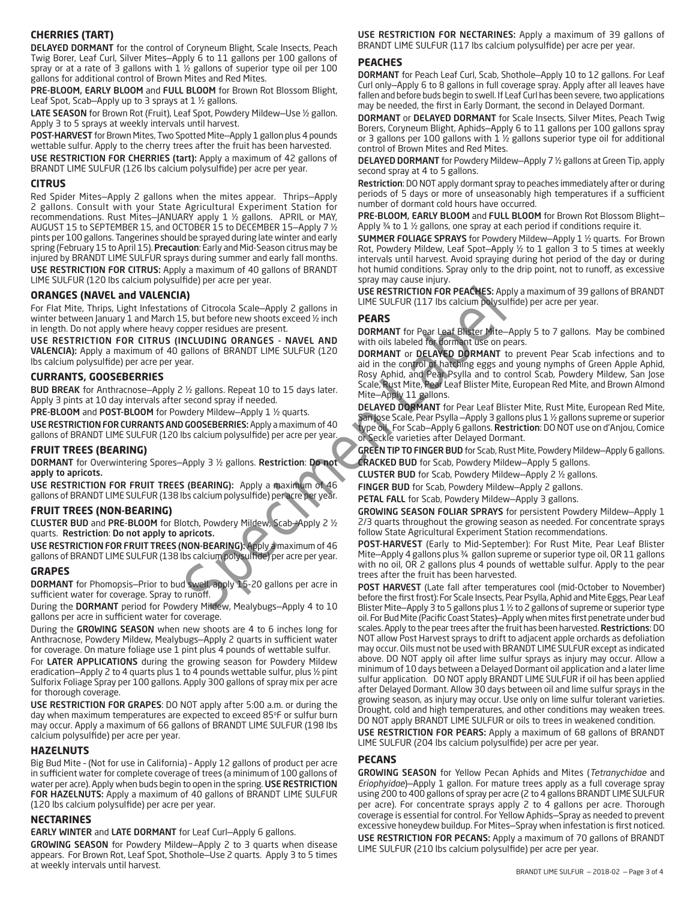# **CHERRIES (TART)**

DELAYED DORMANT for the control of Coryneum Blight, Scale Insects, Peach Twig Borer, Leaf Curl, Silver Mites—Apply 6 to 11 gallons per 100 gallons of spray or at a rate of 3 gallons with  $1 \frac{1}{2}$  gallons of superior type oil per 100 gallons for additional control of Brown Mites and Red Mites.

PRE-BLOOM, EARLY BLOOM and FULL BLOOM for Brown Rot Blossom Blight, Leaf Spot, Scab-Apply up to 3 sprays at 1 1/2 gallons.

LATE SEASON for Brown Rot (Fruit), Leaf Spot, Powdery Mildew-Use 1/2 gallon. Apply 3 to 5 sprays at weekly intervals until harvest.

POST-HARVEST for Brown Mites, Two Spotted Mite—Apply 1 gallon plus 4 pounds wettable sulfur. Apply to the cherry trees after the fruit has been harvested.

USE RESTRICTION FOR CHERRIES (tart): Apply a maximum of 42 gallons of BRANDT LIME SULFUR (126 lbs calcium polysulfide) per acre per year.

### **CITRUS**

Red Spider Mites—Apply 2 gallons when the mites appear. Thrips—Apply 2 gallons. Consult with your State Agricultural Experiment Station for recommendations. Rust Mites—JANUARY apply 1 ½ gallons. APRIL or MAY, AUGUST 15 to SEPTEMBER 15, and OCTOBER 15 to DECEMBER 15—Apply 7 ½ pints per 100 gallons. Tangerines should be sprayed during late winter and early spring (February 15 to April 15). Precaution: Early and Mid-Season citrus may be injured by BRANDT LIME SULFUR sprays during summer and early fall months. USE RESTRICTION FOR CITRUS: Apply a maximum of 40 gallons of BRANDT LIME SULFUR (120 lbs calcium polysulfide) per acre per year.

### **ORANGES (NAVEL and VALENCIA)**

For Flat Mite, Thrips, Light Infestations of Citrocola Scale—Apply 2 gallons in winter between January 1 and March 15, but before new shoots exceed ½ inch in length. Do not apply where heavy copper residues are present.

USE RESTRICTION FOR CITRUS (INCLUDING ORANGES - NAVEL AND VALENCIA): Apply a maximum of 40 gallons of BRANDT LIME SULFUR (120 lbs calcium polysulfide) per acre per year.

### **CURRANTS, GOOSEBERRIES**

BUD BREAK for Anthracnose—Apply 2 ½ gallons. Repeat 10 to 15 days later. Apply 3 pints at 10 day intervals after second spray if needed.

PRE-BLOOM and POST-BLOOM for Powdery Mildew-Apply 1 1/2 quarts.

USE RESTRICTION FOR CURRANTS AND GOOSEBERRIES: Apply a maximum of 40 gallons of BRANDT LIME SULFUR (120 lbs calcium polysulfide) per acre per year.

### **FRUIT TREES (BEARING)**

DORMANT for Overwintering Spores—Apply 3 ½ gallons. Restriction: Do not apply to apricots.

USE RESTRICTION FOR FRUIT TREES (BEARING): Apply a maximum of 46 gallons of BRANDT LIME SULFUR (138 lbs calcium polysulfide) per acre per year.

### **FRUIT TREES (NON-BEARING)**

CLUSTER BUD and PRE-BLOOM for Blotch, Powdery Mildew, Scab—Apply 2 ½ quarts. Restriction: Do not apply to apricots.

USE RESTRICTION FOR FRUIT TREES (NON-BEARING): Apply a maximum of 46 gallons of BRANDT LIME SULFUR (138 lbs calcium polysulfide) per acre per year.

### **GRAPES**

DORMANT for Phomopsis—Prior to bud swell, apply 15-20 gallons per acre in sufficient water for coverage. Spray to runoff.

During the DORMANT period for Powdery Mildew, Mealybugs—Apply 4 to 10 gallons per acre in sufficient water for coverage.

During the GROWING SEASON when new shoots are 4 to 6 inches long for Anthracnose, Powdery Mildew, Mealybugs—Apply 2 quarts in sufficient water for coverage. On mature foliage use 1 pint plus 4 pounds of wettable sulfur.

For LATER APPLICATIONS during the growing season for Powdery Mildew eradication—Apply 2 to 4 quarts plus 1 to 4 pounds wettable sulfur, plus ½ pint Sulforix Foliage Spray per 100 gallons. Apply 300 gallons of spray mix per acre for thorough coverage.

USE RESTRICTION FOR GRAPES: DO NOT apply after 5:00 a.m. or during the day when maximum temperatures are expected to exceed 85°F or sulfur burn may occur. Apply a maximum of 66 gallons of BRANDT LIME SULFUR (198 lbs calcium polysulfide) per acre per year.

### **HAZELNUTS**

Big Bud Mite – (Not for use in California) – Apply 12 gallons of product per acre in sufficient water for complete coverage of trees (a minimum of 100 gallons of water per acre). Apply when buds begin to open in the spring. USE RESTRICTION FOR HAZELNUTS: Apply a maximum of 40 gallons of BRANDT LIME SULFUR (120 lbs calcium polysulfide) per acre per year.

### **NECTARINES**

### EARLY WINTER and LATE DORMANT for Leaf Curl—Apply 6 gallons.

GROWING SEASON for Powdery Mildew—Apply 2 to 3 quarts when disease appears. For Brown Rot, Leaf Spot, Shothole—Use 2 quarts. Apply 3 to 5 times at weekly intervals until harvest.

USE RESTRICTION FOR NECTARINES: Apply a maximum of 39 gallons of BRANDT LIME SULFUR (117 lbs calcium polysulfide) per acre per year.

### **PEACHES**

DORMANT for Peach Leaf Curl, Scab, Shothole—Apply 10 to 12 gallons. For Leaf Curl only—Apply 6 to 8 gallons in full coverage spray. Apply after all leaves have fallen and before buds begin to swell. If Leaf Curl has been severe, two applications may be needed, the first in Early Dormant, the second in Delayed Dormant.

DORMANT or DELAYED DORMANT for Scale Insects, Silver Mites, Peach Twig Borers, Coryneum Blight, Aphids—Apply 6 to 11 gallons per 100 gallons spray or 3 gallons per 100 gallons with 1 ½ gallons superior type oil for additional control of Brown Mites and Red Mites.

DELAYED DORMANT for Powdery Mildew—Apply 7 ½ gallons at Green Tip, apply second spray at 4 to 5 gallons.

Restriction: DO NOT apply dormant spray to peaches immediately after or during periods of 5 days or more of unseasonably high temperatures if a sufficient number of dormant cold hours have occurred.

PRE-BLOOM, EARLY BLOOM and FULL BLOOM for Brown Rot Blossom Blight-Apply 3/4 to 1 1/2 gallons, one spray at each period if conditions require it.

SUMMER FOLIAGE SPRAYS for Powdery Mildew—Apply 1 ½ quarts. For Brown Rot, Powdery Mildew, Leaf Spot—Apply ½ to 1 gallon 3 to 5 times at weekly intervals until harvest. Avoid spraying during hot period of the day or during hot humid conditions. Spray only to the drip point, not to runoff, as excessive spray may cause injury.

USE RESTRICTION FOR PEACHES: Apply a maximum of 39 gallons of BRANDT LIME SULFUR (117 lbs calcium polysulfide) per acre per year.

### **PEARS**

DORMANT for Pear Leaf Blister Mite—Apply 5 to 7 gallons. May be combined with oils labeled for dormant use on pears.

a)<br>
Specific Scale -Apply 2 gallons in<br>
Specific Scale -Apply 2 gallons in<br>
Specific Scale -Apply 2 gallons in<br>
Specific and the SULFUR (117 lbs calcium polysu<br>
Specific are present.<br>
DORMANT for Pear Leaf Bhster Mite-<br>
NO DORMANT or DELAYED DORMANT to prevent Pear Scab infections and to aid in the control of hatching eggs and young nymphs of Green Apple Aphid, Rosy Aphid, and Pear Psylla and to control Scab, Powdery Mildew, San Jose Scale, Rust Mite, Pear Leaf Blister Mite, European Red Mite, and Brown Almond Mite—Apply 11 gallons.

DELAYED DORMANT for Pear Leaf Blister Mite, Rust Mite, European Red Mite, San Jose Scale, Pear Psylla —Apply 3 gallons plus 1 ½ gallons supreme or superior type oil. For Scab—Apply 6 gallons. Restriction: DO NOT use on d'Anjou, Comice or Seckle varieties after Delayed Dormant.

GREEN TIP TO FINGER BUD for Scab, Rust Mite, Powdery Mildew-Apply 6 gallons. CRACKED BUD for Scab, Powdery Mildew—Apply 5 gallons.

CLUSTER BUD for Scab, Powdery Mildew—Apply 2 ½ gallons.

FINGER BUD for Scab, Powdery Mildew—Apply 2 gallons.

PETAL FALL for Scab, Powdery Mildew—Apply 3 gallons.

GROWING SEASON FOLIAR SPRAYS for persistent Powdery Mildew—Apply 1 2/3 quarts throughout the growing season as needed. For concentrate sprays follow State Agricultural Experiment Station recommendations.

POST-HARVEST (Early to Mid-September): For Rust Mite, Pear Leaf Blister Mite—Apply 4 gallons plus ¾ gallon supreme or superior type oil, OR 11 gallons with no oil, OR 2 gallons plus 4 pounds of wettable sulfur. Apply to the pear trees after the fruit has been harvested.

POST HARVEST (Late fall after temperatures cool (mid-October to November) before the first frost): For Scale Insects, Pear Psylla, Aphid and Mite Eggs, Pear Leaf Blister Mite—Apply 3 to 5 gallons plus 1 ½ to 2 gallons of supreme or superior type oil. For Bud Mite (Pacific Coast States)—Apply when mites first penetrate under bud scales. Apply to the pear trees after the fruit has been harvested. Restrictions: DO NOT allow Post Harvest sprays to drift to adjacent apple orchards as defoliation may occur. Oils must not be used with BRANDT LIME SULFUR except as indicated above. DO NOT apply oil after lime sulfur sprays as injury may occur. Allow a minimum of 10 days between a Delayed Dormant oil application and a later lime sulfur application. DO NOT apply BRANDT LIME SULFUR if oil has been applied after Delayed Dormant. Allow 30 days between oil and lime sulfur sprays in the growing season, as injury may occur. Use only on lime sulfur tolerant varieties. Drought, cold and high temperatures, and other conditions may weaken trees. DO NOT apply BRANDT LIME SULFUR or oils to trees in weakened condition.

USE RESTRICTION FOR PEARS: Apply a maximum of 68 gallons of BRANDT LIME SULFUR (204 lbs calcium polysulfide) per acre per year.

### **PECANS**

GROWING SEASON for Yellow Pecan Aphids and Mites (*Tetranychidae* and *Eriophyidae*)—Apply 1 gallon. For mature trees apply as a full coverage spray using 200 to 400 gallons of spray per acre (2 to 4 gallons BRANDT LIME SULFUR per acre). For concentrate sprays apply 2 to 4 gallons per acre. Thorough coverage is essential for control. For Yellow Aphids—Spray as needed to prevent excessive honeydew buildup. For Mites—Spray when infestation is first noticed. USE RESTRICTION FOR PECANS: Apply a maximum of 70 gallons of BRANDT LIME SULFUR (210 lbs calcium polysulfide) per acre per year.